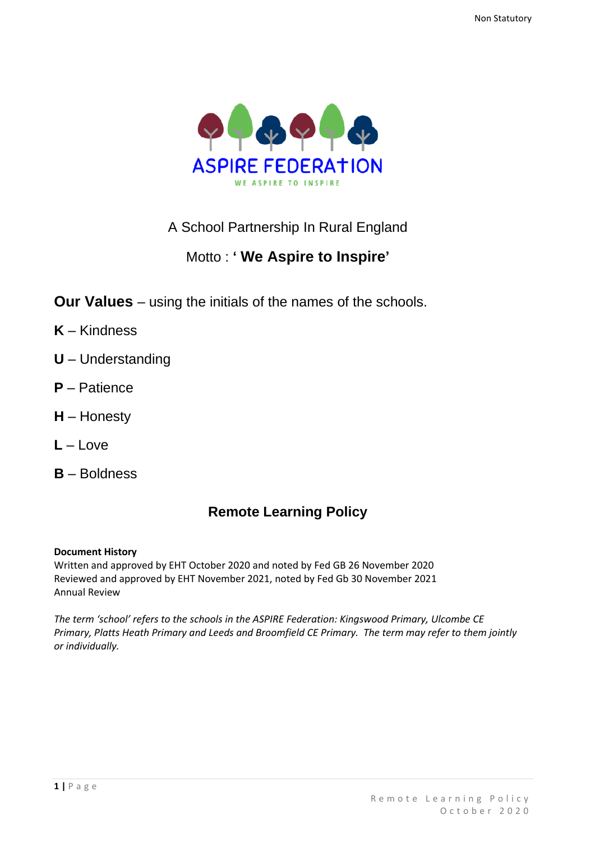

# A School Partnership In Rural England

# Motto : **' We Aspire to Inspire'**

- **Our Values** using the initials of the names of the schools.
- **K** Kindness
- **U** Understanding
- **P** Patience
- **H** Honesty
- **L** Love
- **B** Boldness

# **Remote Learning Policy**

### **Document History**

Written and approved by EHT October 2020 and noted by Fed GB 26 November 2020 Reviewed and approved by EHT November 2021, noted by Fed Gb 30 November 2021 Annual Review

*The term 'school' refers to the schools in the ASPIRE Federation: Kingswood Primary, Ulcombe CE Primary, Platts Heath Primary and Leeds and Broomfield CE Primary. The term may refer to them jointly or individually.*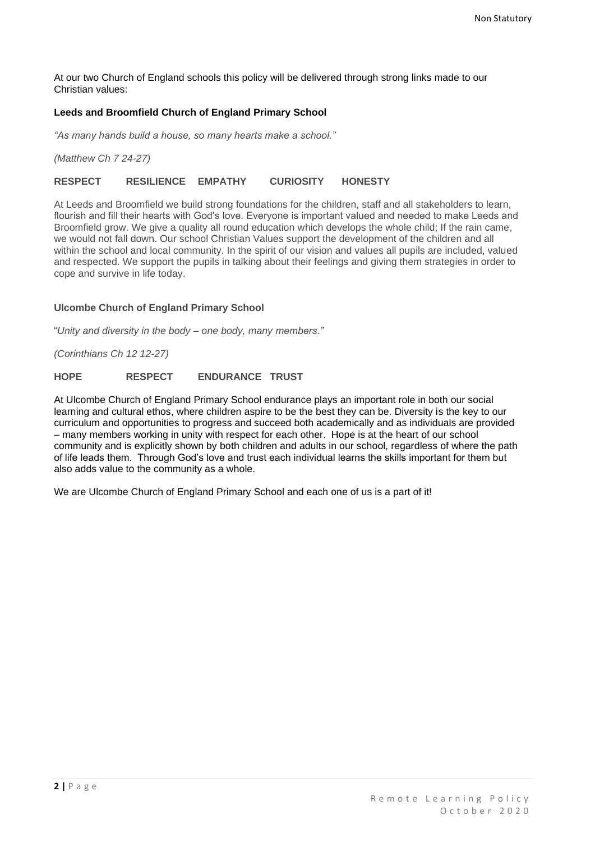At our two Church of England schools this policy will be delivered through strong links made to our Christian values:

#### **Leeds and Broomfield Church of England Primary School**

*"As many hands build a house, so many hearts make a school."*

*(Matthew Ch 7 24-27)*

#### **RESPECT RESILIENCE EMPATHY CURIOSITY HONESTY**

At Leeds and Broomfield we build strong foundations for the children, staff and all stakeholders to learn, flourish and fill their hearts with God's love. Everyone is important valued and needed to make Leeds and Broomfield grow. We give a quality all round education which develops the whole child; If the rain came, we would not fall down. Our school Christian Values support the development of the children and all within the school and local community. In the spirit of our vision and values all pupils are included, valued and respected. We support the pupils in talking about their feelings and giving them strategies in order to cope and survive in life today.

#### **Ulcombe Church of England Primary School**

"*Unity and diversity in the body – one body, many members."*

*(Corinthians Ch 12 12-27)*

#### **HOPE RESPECT ENDURANCE TRUST**

At Ulcombe Church of England Primary School endurance plays an important role in both our social learning and cultural ethos, where children aspire to be the best they can be. Diversity is the key to our curriculum and opportunities to progress and succeed both academically and as individuals are provided – many members working in unity with respect for each other. Hope is at the heart of our school community and is explicitly shown by both children and adults in our school, regardless of where the path of life leads them. Through God's love and trust each individual learns the skills important for them but also adds value to the community as a whole.

We are Ulcombe Church of England Primary School and each one of us is a part of it!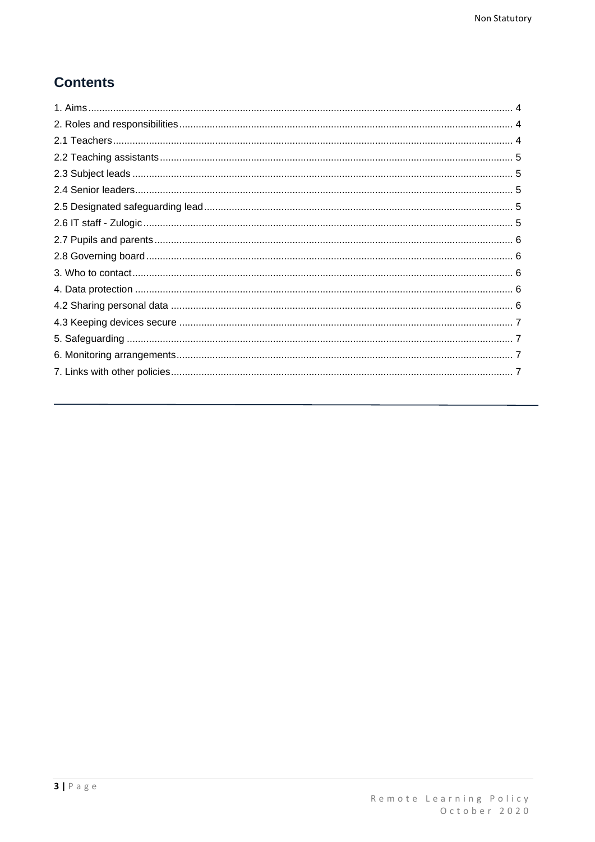# **Contents**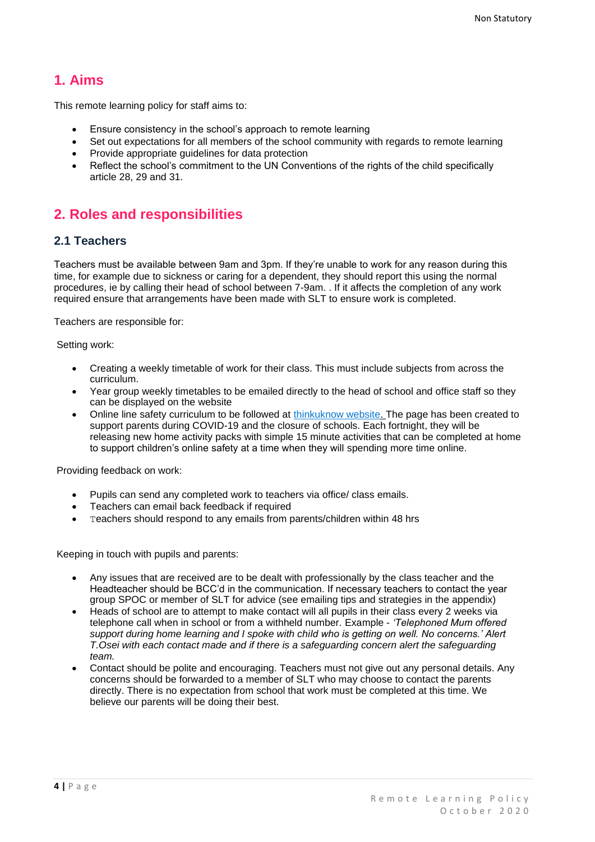# <span id="page-3-0"></span>**1. Aims**

This remote learning policy for staff aims to:

- Ensure consistency in the school's approach to remote learning
- Set out expectations for all members of the school community with regards to remote learning
- Provide appropriate guidelines for data protection
- Reflect the school's commitment to the UN Conventions of the rights of the child specifically article 28, 29 and 31.

# <span id="page-3-1"></span>**2. Roles and responsibilities**

#### <span id="page-3-2"></span>**2.1 Teachers**

Teachers must be available between 9am and 3pm. If they're unable to work for any reason during this time, for example due to sickness or caring for a dependent, they should report this using the normal procedures, ie by calling their head of school between 7-9am. . If it affects the completion of any work required ensure that arrangements have been made with SLT to ensure work is completed.

Teachers are responsible for:

Setting work:

- Creating a weekly timetable of work for their class. This must include subjects from across the curriculum.
- Year group weekly timetables to be emailed directly to the head of school and office staff so they can be displayed on the website
- Online line safety curriculum to be followed at [thinkuknow website. T](https://www.thinkuknow.co.uk/parents/Support-tools/home-activity-worksheets/?utm_source=Thinkuknow&utm_campaign=46e6250b3e-TUK_ONLINE_SAFETY_AT_HOME_07_04_20&utm_medium=email&utm_term=0_0b54505554-46e6250b3e-552159455)he page has been created to support parents during COVID-19 and the closure of schools. Each fortnight, they will be releasing new home activity packs with simple 15 minute activities that can be completed at home to support children's online safety at a time when they will spending more time online.

Providing feedback on work:

- Pupils can send any completed work to teachers via office/ class emails.
- Teachers can email back feedback if required
- Teachers should respond to any emails from parents/children within 48 hrs

Keeping in touch with pupils and parents:

- Any issues that are received are to be dealt with professionally by the class teacher and the Headteacher should be BCC'd in the communication. If necessary teachers to contact the year group SPOC or member of SLT for advice (see emailing tips and strategies in the appendix)
- Heads of school are to attempt to make contact will all pupils in their class every 2 weeks via telephone call when in school or from a withheld number. Example - *'Telephoned Mum offered support during home learning and I spoke with child who is getting on well. No concerns.' Alert T.Osei with each contact made and if there is a safeguarding concern alert the safeguarding team.*
- Contact should be polite and encouraging. Teachers must not give out any personal details. Any concerns should be forwarded to a member of SLT who may choose to contact the parents directly. There is no expectation from school that work must be completed at this time. We believe our parents will be doing their best.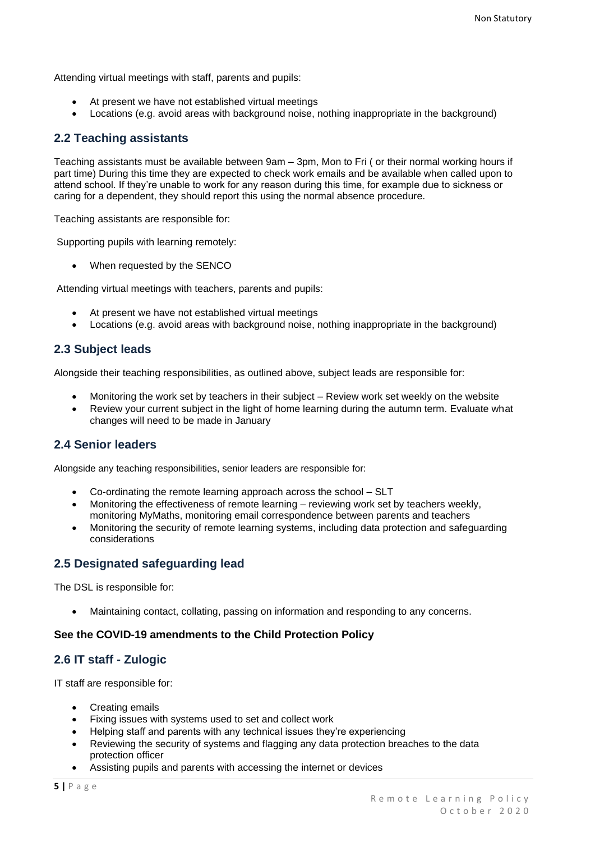Attending virtual meetings with staff, parents and pupils:

- At present we have not established virtual meetings
- Locations (e.g. avoid areas with background noise, nothing inappropriate in the background)

#### <span id="page-4-0"></span>**2.2 Teaching assistants**

Teaching assistants must be available between 9am – 3pm, Mon to Fri ( or their normal working hours if part time) During this time they are expected to check work emails and be available when called upon to attend school. If they're unable to work for any reason during this time, for example due to sickness or caring for a dependent, they should report this using the normal absence procedure.

Teaching assistants are responsible for:

Supporting pupils with learning remotely:

• When requested by the SENCO

Attending virtual meetings with teachers, parents and pupils:

- At present we have not established virtual meetings
- Locations (e.g. avoid areas with background noise, nothing inappropriate in the background)

#### <span id="page-4-1"></span>**2.3 Subject leads**

Alongside their teaching responsibilities, as outlined above, subject leads are responsible for:

- Monitoring the work set by teachers in their subject Review work set weekly on the website
- Review your current subject in the light of home learning during the autumn term. Evaluate what changes will need to be made in January

### <span id="page-4-2"></span>**2.4 Senior leaders**

Alongside any teaching responsibilities, senior leaders are responsible for:

- Co-ordinating the remote learning approach across the school SLT
- Monitoring the effectiveness of remote learning reviewing work set by teachers weekly, monitoring MyMaths, monitoring email correspondence between parents and teachers
- Monitoring the security of remote learning systems, including data protection and safeguarding considerations

### <span id="page-4-3"></span>**2.5 Designated safeguarding lead**

The DSL is responsible for:

• Maintaining contact, collating, passing on information and responding to any concerns.

#### **See the COVID-19 amendments to the Child Protection Policy**

### <span id="page-4-4"></span>**2.6 IT staff - Zulogic**

IT staff are responsible for:

- Creating emails
- Fixing issues with systems used to set and collect work
- Helping staff and parents with any technical issues they're experiencing
- Reviewing the security of systems and flagging any data protection breaches to the data protection officer
- Assisting pupils and parents with accessing the internet or devices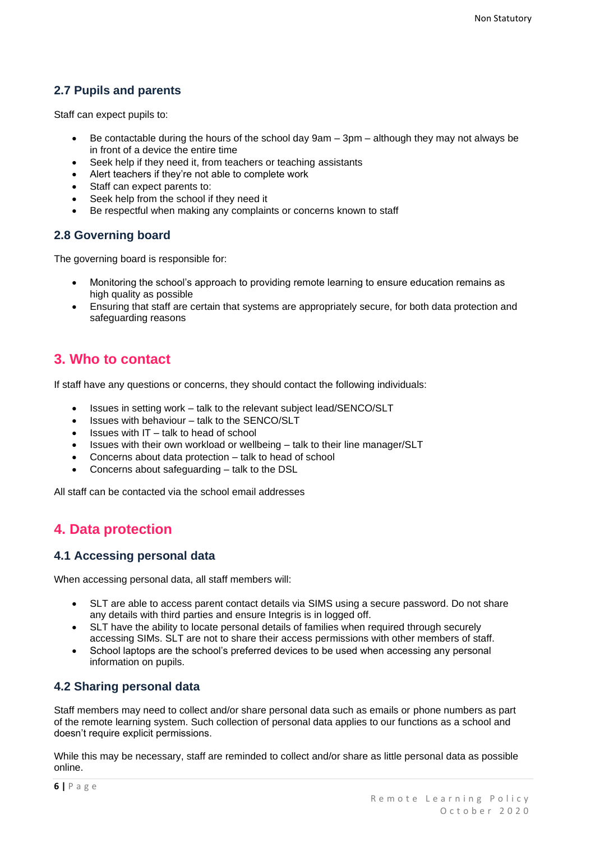## <span id="page-5-0"></span>**2.7 Pupils and parents**

Staff can expect pupils to:

- Be contactable during the hours of the school day 9am 3pm although they may not always be in front of a device the entire time
- Seek help if they need it, from teachers or teaching assistants
- Alert teachers if they're not able to complete work
- Staff can expect parents to:
- Seek help from the school if they need it
- Be respectful when making any complaints or concerns known to staff

### <span id="page-5-1"></span>**2.8 Governing board**

The governing board is responsible for:

- Monitoring the school's approach to providing remote learning to ensure education remains as high quality as possible
- Ensuring that staff are certain that systems are appropriately secure, for both data protection and safeguarding reasons

# <span id="page-5-2"></span>**3. Who to contact**

If staff have any questions or concerns, they should contact the following individuals:

- Issues in setting work talk to the relevant subject lead/SENCO/SLT
- Issues with behaviour talk to the SENCO/SLT
- Issues with IT talk to head of school
- Issues with their own workload or wellbeing talk to their line manager/SLT
- Concerns about data protection talk to head of school
- Concerns about safeguarding talk to the DSL

All staff can be contacted via the school email addresses

# <span id="page-5-3"></span>**4. Data protection**

#### **4.1 Accessing personal data**

When accessing personal data, all staff members will:

- SLT are able to access parent contact details via SIMS using a secure password. Do not share any details with third parties and ensure Integris is in logged off.
- SLT have the ability to locate personal details of families when required through securely accessing SIMs. SLT are not to share their access permissions with other members of staff.
- School laptops are the school's preferred devices to be used when accessing any personal information on pupils.

### <span id="page-5-4"></span>**4.2 Sharing personal data**

Staff members may need to collect and/or share personal data such as emails or phone numbers as part of the remote learning system. Such collection of personal data applies to our functions as a school and doesn't require explicit permissions.

While this may be necessary, staff are reminded to collect and/or share as little personal data as possible online.